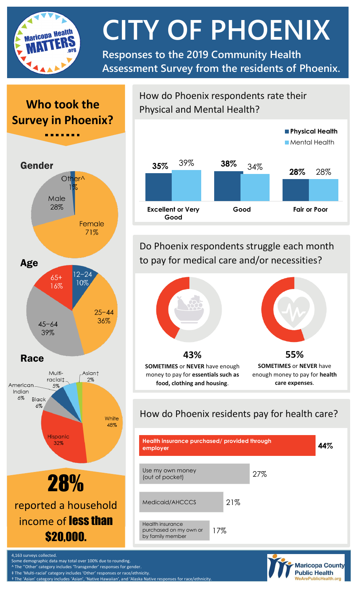

**CITY OF PHOENIX**

**Responses to the 2019 Community Health Assessment Survey from the residents of Phoenix.**

# **Who took the Survey in Phoenix?**



How do Phoenix respondents rate their Physical and Mental Health?



Do Phoenix respondents struggle each month to pay for medical care and/or necessities?



How do Phoenix residents pay for health care?





4,163 surveys collected.

Some demographic data may total over 100% due to rounding.

^ The ''Other' category includes 'Transgender' responses for gender. ‡ The 'Multi-racial' category includes 'Other' responses or race/ethnicity.

† The 'Asian' category includes 'Asian', 'Native Hawaiian', and 'Alaska Native responses for race/ethr